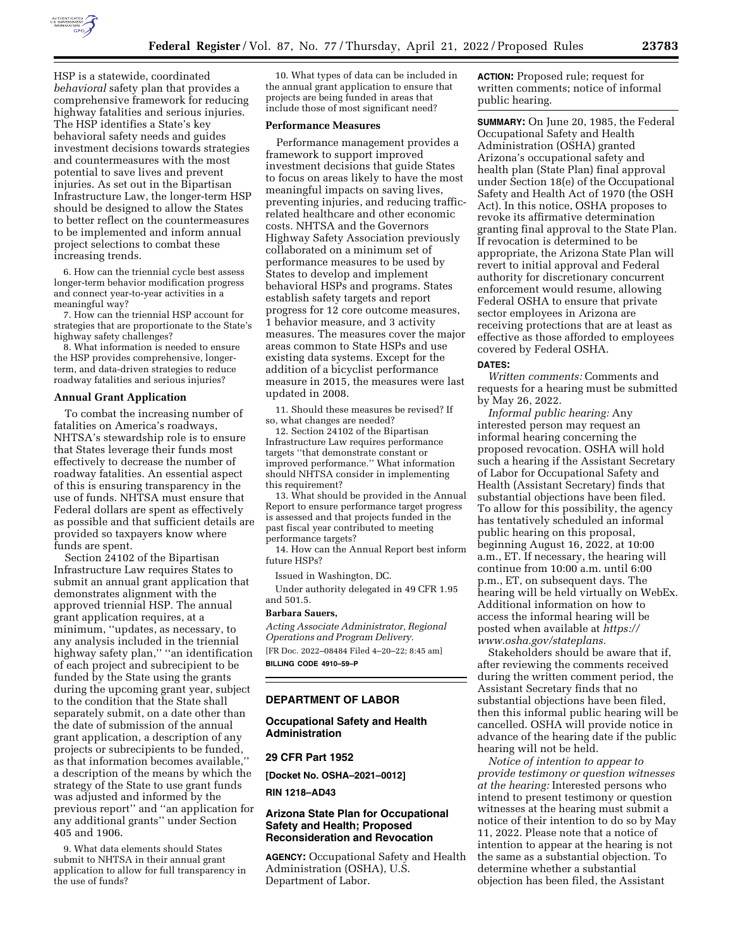

HSP is a statewide, coordinated *behavioral* safety plan that provides a comprehensive framework for reducing highway fatalities and serious injuries. The HSP identifies a State's key behavioral safety needs and guides investment decisions towards strategies and countermeasures with the most potential to save lives and prevent injuries. As set out in the Bipartisan Infrastructure Law, the longer-term HSP should be designed to allow the States to better reflect on the countermeasures to be implemented and inform annual project selections to combat these increasing trends.

6. How can the triennial cycle best assess longer-term behavior modification progress and connect year-to-year activities in a meaningful way?

7. How can the triennial HSP account for strategies that are proportionate to the State's highway safety challenges?

8. What information is needed to ensure the HSP provides comprehensive, longerterm, and data-driven strategies to reduce roadway fatalities and serious injuries?

# **Annual Grant Application**

To combat the increasing number of fatalities on America's roadways, NHTSA's stewardship role is to ensure that States leverage their funds most effectively to decrease the number of roadway fatalities. An essential aspect of this is ensuring transparency in the use of funds. NHTSA must ensure that Federal dollars are spent as effectively as possible and that sufficient details are provided so taxpayers know where funds are spent.

Section 24102 of the Bipartisan Infrastructure Law requires States to submit an annual grant application that demonstrates alignment with the approved triennial HSP. The annual grant application requires, at a minimum, ''updates, as necessary, to any analysis included in the triennial highway safety plan," "an identification of each project and subrecipient to be funded by the State using the grants during the upcoming grant year, subject to the condition that the State shall separately submit, on a date other than the date of submission of the annual grant application, a description of any projects or subrecipients to be funded, as that information becomes available,'' a description of the means by which the strategy of the State to use grant funds was adjusted and informed by the previous report'' and ''an application for any additional grants'' under Section 405 and 1906.

9. What data elements should States submit to NHTSA in their annual grant application to allow for full transparency in the use of funds?

10. What types of data can be included in the annual grant application to ensure that projects are being funded in areas that include those of most significant need?

## **Performance Measures**

Performance management provides a framework to support improved investment decisions that guide States to focus on areas likely to have the most meaningful impacts on saving lives, preventing injuries, and reducing trafficrelated healthcare and other economic costs. NHTSA and the Governors Highway Safety Association previously collaborated on a minimum set of performance measures to be used by States to develop and implement behavioral HSPs and programs. States establish safety targets and report progress for 12 core outcome measures, 1 behavior measure, and 3 activity measures. The measures cover the major areas common to State HSPs and use existing data systems. Except for the addition of a bicyclist performance measure in 2015, the measures were last updated in 2008.

11. Should these measures be revised? If so, what changes are needed?

12. Section 24102 of the Bipartisan Infrastructure Law requires performance targets ''that demonstrate constant or improved performance.'' What information should NHTSA consider in implementing this requirement?

13. What should be provided in the Annual Report to ensure performance target progress is assessed and that projects funded in the past fiscal year contributed to meeting performance targets?

14. How can the Annual Report best inform future HSPs?

Issued in Washington, DC.

Under authority delegated in 49 CFR 1.95 and 501.5.

### **Barbara Sauers,**

*Acting Associate Administrator, Regional Operations and Program Delivery.*  [FR Doc. 2022–08484 Filed 4–20–22; 8:45 am] **BILLING CODE 4910–59–P** 

#### **DEPARTMENT OF LABOR**

## **Occupational Safety and Health Administration**

#### **29 CFR Part 1952**

**[Docket No. OSHA–2021–0012]** 

**RIN 1218–AD43** 

# **Arizona State Plan for Occupational Safety and Health; Proposed Reconsideration and Revocation**

**AGENCY:** Occupational Safety and Health Administration (OSHA), U.S. Department of Labor.

**ACTION:** Proposed rule; request for written comments; notice of informal public hearing.

**SUMMARY:** On June 20, 1985, the Federal Occupational Safety and Health Administration (OSHA) granted Arizona's occupational safety and health plan (State Plan) final approval under Section 18(e) of the Occupational Safety and Health Act of 1970 (the OSH Act). In this notice, OSHA proposes to revoke its affirmative determination granting final approval to the State Plan. If revocation is determined to be appropriate, the Arizona State Plan will revert to initial approval and Federal authority for discretionary concurrent enforcement would resume, allowing Federal OSHA to ensure that private sector employees in Arizona are receiving protections that are at least as effective as those afforded to employees covered by Federal OSHA.

#### **DATES:**

*Written comments:* Comments and requests for a hearing must be submitted by May 26, 2022.

*Informal public hearing:* Any interested person may request an informal hearing concerning the proposed revocation. OSHA will hold such a hearing if the Assistant Secretary of Labor for Occupational Safety and Health (Assistant Secretary) finds that substantial objections have been filed. To allow for this possibility, the agency has tentatively scheduled an informal public hearing on this proposal, beginning August 16, 2022, at 10:00 a.m., ET. If necessary, the hearing will continue from 10:00 a.m. until 6:00 p.m., ET, on subsequent days. The hearing will be held virtually on WebEx. Additional information on how to access the informal hearing will be posted when available at *[https://](https://www.osha.gov/stateplans) [www.osha.gov/stateplans.](https://www.osha.gov/stateplans)* 

Stakeholders should be aware that if, after reviewing the comments received during the written comment period, the Assistant Secretary finds that no substantial objections have been filed, then this informal public hearing will be cancelled. OSHA will provide notice in advance of the hearing date if the public hearing will not be held.

*Notice of intention to appear to provide testimony or question witnesses at the hearing:* Interested persons who intend to present testimony or question witnesses at the hearing must submit a notice of their intention to do so by May 11, 2022. Please note that a notice of intention to appear at the hearing is not the same as a substantial objection. To determine whether a substantial objection has been filed, the Assistant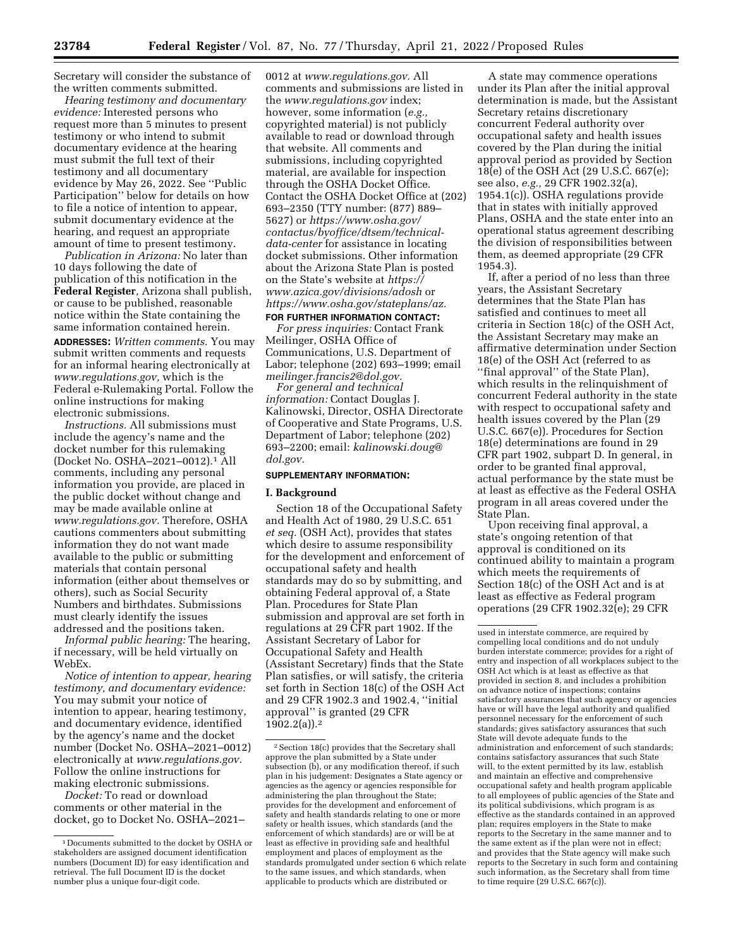Secretary will consider the substance of the written comments submitted.

*Hearing testimony and documentary evidence:* Interested persons who request more than 5 minutes to present testimony or who intend to submit documentary evidence at the hearing must submit the full text of their testimony and all documentary evidence by May 26, 2022. See ''Public Participation'' below for details on how to file a notice of intention to appear, submit documentary evidence at the hearing, and request an appropriate amount of time to present testimony.

*Publication in Arizona:* No later than 10 days following the date of publication of this notification in the **Federal Register***,* Arizona shall publish, or cause to be published, reasonable notice within the State containing the same information contained herein. **ADDRESSES:** *Written comments.* You may submit written comments and requests for an informal hearing electronically at *[www.regulations.gov,](http://www.regulations.gov)* which is the Federal e-Rulemaking Portal. Follow the online instructions for making electronic submissions.

*Instructions.* All submissions must include the agency's name and the docket number for this rulemaking (Docket No. OSHA–2021–0012).1 All comments, including any personal information you provide, are placed in the public docket without change and may be made available online at *[www.regulations.gov.](http://www.regulations.gov)* Therefore, OSHA cautions commenters about submitting information they do not want made available to the public or submitting materials that contain personal information (either about themselves or others), such as Social Security Numbers and birthdates. Submissions must clearly identify the issues addressed and the positions taken.

*Informal public hearing:* The hearing, if necessary, will be held virtually on WebEx.

*Notice of intention to appear, hearing testimony, and documentary evidence:*  You may submit your notice of intention to appear, hearing testimony, and documentary evidence, identified by the agency's name and the docket number (Docket No. OSHA–2021–0012) electronically at *[www.regulations.gov.](http://www.regulations.gov)*  Follow the online instructions for making electronic submissions.

*Docket:* To read or download comments or other material in the docket, go to Docket No. OSHA–2021– 0012 at *[www.regulations.gov.](http://www.regulations.gov)* All comments and submissions are listed in the *[www.regulations.gov](http://www.regulations.gov)* index; however, some information (*e.g.*) copyrighted material) is not publicly available to read or download through that website. All comments and submissions, including copyrighted material, are available for inspection through the OSHA Docket Office. Contact the OSHA Docket Office at (202) 693–2350 (TTY number: (877) 889– 5627) or *[https://www.osha.gov/](https://www.osha.gov/contactus/byoffice/dtsem/technical-data-center)  [contactus/byoffice/dtsem/technical](https://www.osha.gov/contactus/byoffice/dtsem/technical-data-center)[data-center](https://www.osha.gov/contactus/byoffice/dtsem/technical-data-center)* for assistance in locating docket submissions. Other information about the Arizona State Plan is posted on the State's website at *[https://](https://www.azica.gov/divisions/adosh) [www.azica.gov/divisions/adosh](https://www.azica.gov/divisions/adosh)* or *[https://www.osha.gov/stateplans/az.](https://www.osha.gov/stateplans/az)*  **FOR FURTHER INFORMATION CONTACT:**

*For press inquiries:* Contact Frank Meilinger, OSHA Office of Communications, U.S. Department of Labor; telephone (202) 693–1999; email *[meilinger.francis2@dol.gov.](mailto:meilinger.francis2@dol.gov)* 

*For general and technical information:* Contact Douglas J. Kalinowski, Director, OSHA Directorate of Cooperative and State Programs, U.S. Department of Labor; telephone (202) 693–2200; email: *[kalinowski.doug@](mailto:kalinowski.doug@dol.gov) [dol.gov.](mailto:kalinowski.doug@dol.gov)* 

### **SUPPLEMENTARY INFORMATION:**

### **I. Background**

Section 18 of the Occupational Safety and Health Act of 1980, 29 U.S.C. 651 *et seq.* (OSH Act), provides that states which desire to assume responsibility for the development and enforcement of occupational safety and health standards may do so by submitting, and obtaining Federal approval of, a State Plan. Procedures for State Plan submission and approval are set forth in regulations at 29 CFR part 1902. If the Assistant Secretary of Labor for Occupational Safety and Health (Assistant Secretary) finds that the State Plan satisfies, or will satisfy, the criteria set forth in Section 18(c) of the OSH Act and 29 CFR 1902.3 and 1902.4, ''initial approval'' is granted (29 CFR 1902.2(a)).2

A state may commence operations under its Plan after the initial approval determination is made, but the Assistant Secretary retains discretionary concurrent Federal authority over occupational safety and health issues covered by the Plan during the initial approval period as provided by Section 18(e) of the OSH Act (29 U.S.C. 667(e); see also, *e.g.,* 29 CFR 1902.32(a), 1954.1(c)). OSHA regulations provide that in states with initially approved Plans, OSHA and the state enter into an operational status agreement describing the division of responsibilities between them, as deemed appropriate (29 CFR 1954.3).

If, after a period of no less than three years, the Assistant Secretary determines that the State Plan has satisfied and continues to meet all criteria in Section 18(c) of the OSH Act, the Assistant Secretary may make an affirmative determination under Section 18(e) of the OSH Act (referred to as ''final approval'' of the State Plan), which results in the relinquishment of concurrent Federal authority in the state with respect to occupational safety and health issues covered by the Plan (29 U.S.C. 667(e)). Procedures for Section 18(e) determinations are found in 29 CFR part 1902, subpart D. In general, in order to be granted final approval, actual performance by the state must be at least as effective as the Federal OSHA program in all areas covered under the State Plan.

Upon receiving final approval, a state's ongoing retention of that approval is conditioned on its continued ability to maintain a program which meets the requirements of Section 18(c) of the OSH Act and is at least as effective as Federal program operations (29 CFR 1902.32(e); 29 CFR

<sup>1</sup> Documents submitted to the docket by OSHA or stakeholders are assigned document identification numbers (Document ID) for easy identification and retrieval. The full Document ID is the docket number plus a unique four-digit code.

<sup>2</sup>Section 18(c) provides that the Secretary shall approve the plan submitted by a State under subsection (b), or any modification thereof, if such plan in his judgement: Designates a State agency or agencies as the agency or agencies responsible for administering the plan throughout the State; provides for the development and enforcement of safety and health standards relating to one or more safety or health issues, which standards (and the enforcement of which standards) are or will be at least as effective in providing safe and healthful employment and places of employment as the standards promulgated under section 6 which relate to the same issues, and which standards, when applicable to products which are distributed or

used in interstate commerce, are required by compelling local conditions and do not unduly burden interstate commerce; provides for a right of entry and inspection of all workplaces subject to the OSH Act which is at least as effective as that provided in section 8, and includes a prohibition on advance notice of inspections; contains satisfactory assurances that such agency or agencies have or will have the legal authority and qualified personnel necessary for the enforcement of such standards; gives satisfactory assurances that such State will devote adequate funds to the administration and enforcement of such standards; contains satisfactory assurances that such State will, to the extent permitted by its law, establish and maintain an effective and comprehensive occupational safety and health program applicable to all employees of public agencies of the State and its political subdivisions, which program is as effective as the standards contained in an approved plan; requires employers in the State to make reports to the Secretary in the same manner and to the same extent as if the plan were not in effect; and provides that the State agency will make such reports to the Secretary in such form and containing such information, as the Secretary shall from time to time require (29 U.S.C. 667(c)).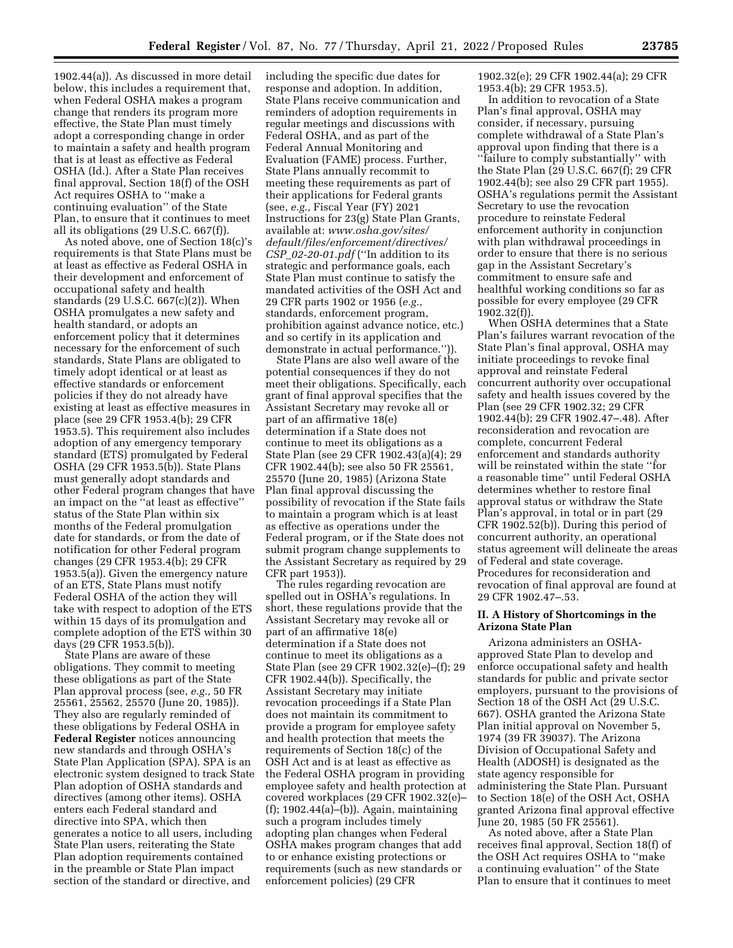1902.44(a)). As discussed in more detail below, this includes a requirement that, when Federal OSHA makes a program change that renders its program more effective, the State Plan must timely adopt a corresponding change in order to maintain a safety and health program that is at least as effective as Federal OSHA (Id.). After a State Plan receives final approval, Section 18(f) of the OSH Act requires OSHA to ''make a continuing evaluation'' of the State Plan, to ensure that it continues to meet all its obligations (29 U.S.C. 667(f)).

As noted above, one of Section 18(c)'s requirements is that State Plans must be at least as effective as Federal OSHA in their development and enforcement of occupational safety and health standards (29 U.S.C. 667(c)(2)). When OSHA promulgates a new safety and health standard, or adopts an enforcement policy that it determines necessary for the enforcement of such standards, State Plans are obligated to timely adopt identical or at least as effective standards or enforcement policies if they do not already have existing at least as effective measures in place (see 29 CFR 1953.4(b); 29 CFR 1953.5). This requirement also includes adoption of any emergency temporary standard (ETS) promulgated by Federal OSHA (29 CFR 1953.5(b)). State Plans must generally adopt standards and other Federal program changes that have an impact on the ''at least as effective'' status of the State Plan within six months of the Federal promulgation date for standards, or from the date of notification for other Federal program changes (29 CFR 1953.4(b); 29 CFR 1953.5(a)). Given the emergency nature of an ETS, State Plans must notify Federal OSHA of the action they will take with respect to adoption of the ETS within 15 days of its promulgation and complete adoption of the ETS within 30 days (29 CFR 1953.5(b)).

State Plans are aware of these obligations. They commit to meeting these obligations as part of the State Plan approval process (see, *e.g.,* 50 FR 25561, 25562, 25570 (June 20, 1985)). They also are regularly reminded of these obligations by Federal OSHA in **Federal Register** notices announcing new standards and through OSHA's State Plan Application (SPA). SPA is an electronic system designed to track State Plan adoption of OSHA standards and directives (among other items). OSHA enters each Federal standard and directive into SPA, which then generates a notice to all users, including State Plan users, reiterating the State Plan adoption requirements contained in the preamble or State Plan impact section of the standard or directive, and

including the specific due dates for response and adoption. In addition, State Plans receive communication and reminders of adoption requirements in regular meetings and discussions with Federal OSHA, and as part of the Federal Annual Monitoring and Evaluation (FAME) process. Further, State Plans annually recommit to meeting these requirements as part of their applications for Federal grants (see, *e.g.,* Fiscal Year (FY) 2021 Instructions for 23(g) State Plan Grants, available at: *[www.osha.gov/sites/](http://www.osha.gov/sites/default/files/enforcement/directives/CSP_02-20-01.pdf) [default/files/enforcement/directives/](http://www.osha.gov/sites/default/files/enforcement/directives/CSP_02-20-01.pdf)  CSP*\_*[02-20-01.pdf](http://www.osha.gov/sites/default/files/enforcement/directives/CSP_02-20-01.pdf)* (''In addition to its strategic and performance goals, each State Plan must continue to satisfy the mandated activities of the OSH Act and 29 CFR parts 1902 or 1956 (*e.g.,*  standards, enforcement program, prohibition against advance notice, etc.) and so certify in its application and demonstrate in actual performance.'')).

State Plans are also well aware of the potential consequences if they do not meet their obligations. Specifically, each grant of final approval specifies that the Assistant Secretary may revoke all or part of an affirmative 18(e) determination if a State does not continue to meet its obligations as a State Plan (see 29 CFR 1902.43(a)(4); 29 CFR 1902.44(b); see also 50 FR 25561, 25570 (June 20, 1985) (Arizona State Plan final approval discussing the possibility of revocation if the State fails to maintain a program which is at least as effective as operations under the Federal program, or if the State does not submit program change supplements to the Assistant Secretary as required by 29 CFR part 1953)).

The rules regarding revocation are spelled out in OSHA's regulations. In short, these regulations provide that the Assistant Secretary may revoke all or part of an affirmative 18(e) determination if a State does not continue to meet its obligations as a State Plan (see 29 CFR 1902.32(e)–(f); 29 CFR 1902.44(b)). Specifically, the Assistant Secretary may initiate revocation proceedings if a State Plan does not maintain its commitment to provide a program for employee safety and health protection that meets the requirements of Section 18(c) of the OSH Act and is at least as effective as the Federal OSHA program in providing employee safety and health protection at covered workplaces (29 CFR 1902.32(e)– (f); 1902.44(a)–(b)). Again, maintaining such a program includes timely adopting plan changes when Federal OSHA makes program changes that add to or enhance existing protections or requirements (such as new standards or enforcement policies) (29 CFR

1902.32(e); 29 CFR 1902.44(a); 29 CFR 1953.4(b); 29 CFR 1953.5).

In addition to revocation of a State Plan's final approval, OSHA may consider, if necessary, pursuing complete withdrawal of a State Plan's approval upon finding that there is a ''failure to comply substantially'' with the State Plan (29 U.S.C. 667(f); 29 CFR 1902.44(b); see also 29 CFR part 1955). OSHA's regulations permit the Assistant Secretary to use the revocation procedure to reinstate Federal enforcement authority in conjunction with plan withdrawal proceedings in order to ensure that there is no serious gap in the Assistant Secretary's commitment to ensure safe and healthful working conditions so far as possible for every employee (29 CFR 1902.32(f)).

When OSHA determines that a State Plan's failures warrant revocation of the State Plan's final approval, OSHA may initiate proceedings to revoke final approval and reinstate Federal concurrent authority over occupational safety and health issues covered by the Plan (see 29 CFR 1902.32; 29 CFR 1902.44(b); 29 CFR 1902.47–.48). After reconsideration and revocation are complete, concurrent Federal enforcement and standards authority will be reinstated within the state ''for a reasonable time'' until Federal OSHA determines whether to restore final approval status or withdraw the State Plan's approval, in total or in part (29 CFR 1902.52(b)). During this period of concurrent authority, an operational status agreement will delineate the areas of Federal and state coverage. Procedures for reconsideration and revocation of final approval are found at 29 CFR 1902.47–.53.

### **II. A History of Shortcomings in the Arizona State Plan**

Arizona administers an OSHAapproved State Plan to develop and enforce occupational safety and health standards for public and private sector employers, pursuant to the provisions of Section 18 of the OSH Act (29 U.S.C. 667). OSHA granted the Arizona State Plan initial approval on November 5, 1974 (39 FR 39037). The Arizona Division of Occupational Safety and Health (ADOSH) is designated as the state agency responsible for administering the State Plan. Pursuant to Section 18(e) of the OSH Act, OSHA granted Arizona final approval effective June 20, 1985 (50 FR 25561).

As noted above, after a State Plan receives final approval, Section 18(f) of the OSH Act requires OSHA to ''make a continuing evaluation'' of the State Plan to ensure that it continues to meet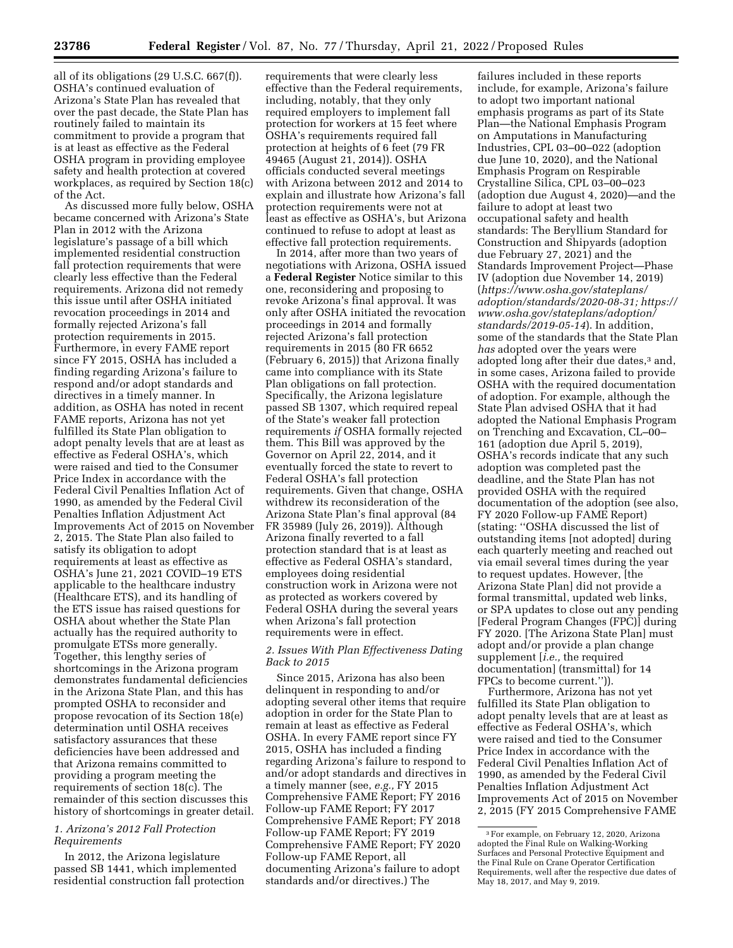all of its obligations (29 U.S.C. 667(f)). OSHA's continued evaluation of Arizona's State Plan has revealed that over the past decade, the State Plan has routinely failed to maintain its commitment to provide a program that is at least as effective as the Federal OSHA program in providing employee safety and health protection at covered workplaces, as required by Section 18(c) of the Act.

As discussed more fully below, OSHA became concerned with Arizona's State Plan in 2012 with the Arizona legislature's passage of a bill which implemented residential construction fall protection requirements that were clearly less effective than the Federal requirements. Arizona did not remedy this issue until after OSHA initiated revocation proceedings in 2014 and formally rejected Arizona's fall protection requirements in 2015. Furthermore, in every FAME report since FY 2015, OSHA has included a finding regarding Arizona's failure to respond and/or adopt standards and directives in a timely manner. In addition, as OSHA has noted in recent FAME reports, Arizona has not yet fulfilled its State Plan obligation to adopt penalty levels that are at least as effective as Federal OSHA's, which were raised and tied to the Consumer Price Index in accordance with the Federal Civil Penalties Inflation Act of 1990, as amended by the Federal Civil Penalties Inflation Adjustment Act Improvements Act of 2015 on November 2, 2015. The State Plan also failed to satisfy its obligation to adopt requirements at least as effective as OSHA's June 21, 2021 COVID–19 ETS applicable to the healthcare industry (Healthcare ETS), and its handling of the ETS issue has raised questions for OSHA about whether the State Plan actually has the required authority to promulgate ETSs more generally. Together, this lengthy series of shortcomings in the Arizona program demonstrates fundamental deficiencies in the Arizona State Plan, and this has prompted OSHA to reconsider and propose revocation of its Section 18(e) determination until OSHA receives satisfactory assurances that these deficiencies have been addressed and that Arizona remains committed to providing a program meeting the requirements of section 18(c). The remainder of this section discusses this history of shortcomings in greater detail.

# *1. Arizona's 2012 Fall Protection Requirements*

In 2012, the Arizona legislature passed SB 1441, which implemented residential construction fall protection

requirements that were clearly less effective than the Federal requirements, including, notably, that they only required employers to implement fall protection for workers at 15 feet where OSHA's requirements required fall protection at heights of 6 feet (79 FR 49465 (August 21, 2014)). OSHA officials conducted several meetings with Arizona between 2012 and 2014 to explain and illustrate how Arizona's fall protection requirements were not at least as effective as OSHA's, but Arizona continued to refuse to adopt at least as effective fall protection requirements.

In 2014, after more than two years of negotiations with Arizona, OSHA issued a **Federal Register** Notice similar to this one, reconsidering and proposing to revoke Arizona's final approval. It was only after OSHA initiated the revocation proceedings in 2014 and formally rejected Arizona's fall protection requirements in 2015 (80 FR 6652 (February 6, 2015)) that Arizona finally came into compliance with its State Plan obligations on fall protection. Specifically, the Arizona legislature passed SB 1307, which required repeal of the State's weaker fall protection requirements *if* OSHA formally rejected them. This Bill was approved by the Governor on April 22, 2014, and it eventually forced the state to revert to Federal OSHA's fall protection requirements. Given that change, OSHA withdrew its reconsideration of the Arizona State Plan's final approval (84 FR 35989 (July 26, 2019)). Although Arizona finally reverted to a fall protection standard that is at least as effective as Federal OSHA's standard, employees doing residential construction work in Arizona were not as protected as workers covered by Federal OSHA during the several years when Arizona's fall protection requirements were in effect.

# *2. Issues With Plan Effectiveness Dating Back to 2015*

Since 2015, Arizona has also been delinquent in responding to and/or adopting several other items that require adoption in order for the State Plan to remain at least as effective as Federal OSHA. In every FAME report since FY 2015, OSHA has included a finding regarding Arizona's failure to respond to and/or adopt standards and directives in a timely manner (see, *e.g.,* FY 2015 Comprehensive FAME Report; FY 2016 Follow-up FAME Report; FY 2017 Comprehensive FAME Report; FY 2018 Follow-up FAME Report; FY 2019 Comprehensive FAME Report; FY 2020 Follow-up FAME Report, all documenting Arizona's failure to adopt standards and/or directives.) The

failures included in these reports include, for example, Arizona's failure to adopt two important national emphasis programs as part of its State Plan—the National Emphasis Program on Amputations in Manufacturing Industries, CPL 03–00–022 (adoption due June 10, 2020), and the National Emphasis Program on Respirable Crystalline Silica, CPL 03–00–023 (adoption due August 4, 2020)—and the failure to adopt at least two occupational safety and health standards: The Beryllium Standard for Construction and Shipyards (adoption due February 27, 2021) and the Standards Improvement Project—Phase IV (adoption due November 14, 2019) (*[https://www.osha.gov/stateplans/](https://www.osha.gov/stateplans/adoption/standards/2020-08-31) [adoption/standards/2020-08-31;](https://www.osha.gov/stateplans/adoption/standards/2020-08-31) [https://](https://www.osha.gov/stateplans/adoption/standards/2019-05-14)  [www.osha.gov/stateplans/adoption/](https://www.osha.gov/stateplans/adoption/standards/2019-05-14) [standards/2019-05-14](https://www.osha.gov/stateplans/adoption/standards/2019-05-14)*). In addition, some of the standards that the State Plan *has* adopted over the years were adopted long after their due dates,<sup>3</sup> and, in some cases, Arizona failed to provide OSHA with the required documentation of adoption. For example, although the State Plan advised OSHA that it had adopted the National Emphasis Program on Trenching and Excavation, CL–00– 161 (adoption due April 5, 2019), OSHA's records indicate that any such adoption was completed past the deadline, and the State Plan has not provided OSHA with the required documentation of the adoption (see also, FY 2020 Follow-up FAME Report) (stating: ''OSHA discussed the list of outstanding items [not adopted] during each quarterly meeting and reached out via email several times during the year to request updates. However, [the Arizona State Plan] did not provide a formal transmittal, updated web links, or SPA updates to close out any pending [Federal Program Changes (FPC)] during FY 2020. [The Arizona State Plan] must adopt and/or provide a plan change supplement [*i.e.,* the required documentation] (transmittal) for 14 FPCs to become current.'')).

Furthermore, Arizona has not yet fulfilled its State Plan obligation to adopt penalty levels that are at least as effective as Federal OSHA's, which were raised and tied to the Consumer Price Index in accordance with the Federal Civil Penalties Inflation Act of 1990, as amended by the Federal Civil Penalties Inflation Adjustment Act Improvements Act of 2015 on November 2, 2015 (FY 2015 Comprehensive FAME

<sup>3</sup>For example, on February 12, 2020, Arizona adopted the Final Rule on Walking-Working Surfaces and Personal Protective Equipment and the Final Rule on Crane Operator Certification Requirements, well after the respective due dates of May 18, 2017, and May 9, 2019.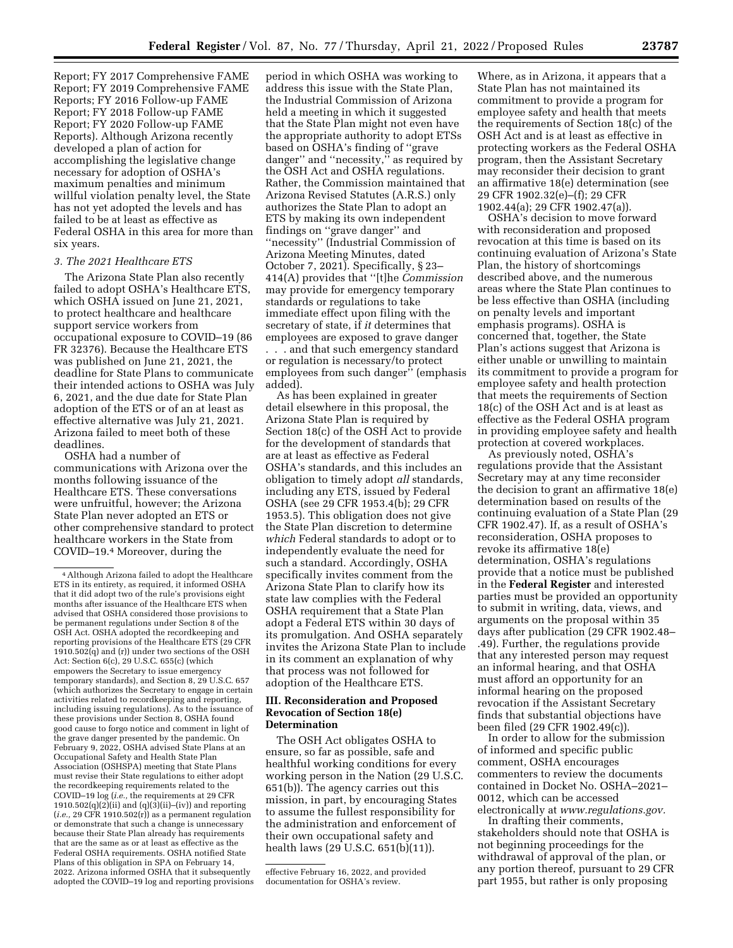Report; FY 2017 Comprehensive FAME Report; FY 2019 Comprehensive FAME Reports; FY 2016 Follow-up FAME Report; FY 2018 Follow-up FAME Report; FY 2020 Follow-up FAME Reports). Although Arizona recently developed a plan of action for accomplishing the legislative change necessary for adoption of OSHA's maximum penalties and minimum willful violation penalty level, the State has not yet adopted the levels and has failed to be at least as effective as Federal OSHA in this area for more than six years.

### *3. The 2021 Healthcare ETS*

The Arizona State Plan also recently failed to adopt OSHA's Healthcare ETS, which OSHA issued on June 21, 2021, to protect healthcare and healthcare support service workers from occupational exposure to COVID–19 (86 FR 32376). Because the Healthcare ETS was published on June 21, 2021, the deadline for State Plans to communicate their intended actions to OSHA was July 6, 2021, and the due date for State Plan adoption of the ETS or of an at least as effective alternative was July 21, 2021. Arizona failed to meet both of these deadlines.

OSHA had a number of communications with Arizona over the months following issuance of the Healthcare ETS. These conversations were unfruitful, however; the Arizona State Plan never adopted an ETS or other comprehensive standard to protect healthcare workers in the State from COVID–19.4 Moreover, during the

period in which OSHA was working to address this issue with the State Plan, the Industrial Commission of Arizona held a meeting in which it suggested that the State Plan might not even have the appropriate authority to adopt ETSs based on OSHA's finding of ''grave danger'' and ''necessity,'' as required by the OSH Act and OSHA regulations. Rather, the Commission maintained that Arizona Revised Statutes (A.R.S.) only authorizes the State Plan to adopt an ETS by making its own independent findings on ''grave danger'' and ''necessity'' (Industrial Commission of Arizona Meeting Minutes, dated October 7, 2021). Specifically, § 23– 414(A) provides that ''[t]he *Commission*  may provide for emergency temporary standards or regulations to take immediate effect upon filing with the secretary of state, if *it* determines that employees are exposed to grave danger . . . and that such emergency standard or regulation is necessary/to protect employees from such danger'' (emphasis added).

As has been explained in greater detail elsewhere in this proposal, the Arizona State Plan is required by Section 18(c) of the OSH Act to provide for the development of standards that are at least as effective as Federal OSHA's standards, and this includes an obligation to timely adopt *all* standards, including any ETS, issued by Federal OSHA (see 29 CFR 1953.4(b); 29 CFR 1953.5). This obligation does not give the State Plan discretion to determine *which* Federal standards to adopt or to independently evaluate the need for such a standard. Accordingly, OSHA specifically invites comment from the Arizona State Plan to clarify how its state law complies with the Federal OSHA requirement that a State Plan adopt a Federal ETS within 30 days of its promulgation. And OSHA separately invites the Arizona State Plan to include in its comment an explanation of why that process was not followed for adoption of the Healthcare ETS.

## **III. Reconsideration and Proposed Revocation of Section 18(e) Determination**

The OSH Act obligates OSHA to ensure, so far as possible, safe and healthful working conditions for every working person in the Nation (29 U.S.C. 651(b)). The agency carries out this mission, in part, by encouraging States to assume the fullest responsibility for the administration and enforcement of their own occupational safety and health laws (29 U.S.C. 651(b)(11)).

Where, as in Arizona, it appears that a State Plan has not maintained its commitment to provide a program for employee safety and health that meets the requirements of Section 18(c) of the OSH Act and is at least as effective in protecting workers as the Federal OSHA program, then the Assistant Secretary may reconsider their decision to grant an affirmative 18(e) determination (see 29 CFR 1902.32(e)–(f); 29 CFR 1902.44(a); 29 CFR 1902.47(a)).

OSHA's decision to move forward with reconsideration and proposed revocation at this time is based on its continuing evaluation of Arizona's State Plan, the history of shortcomings described above, and the numerous areas where the State Plan continues to be less effective than OSHA (including on penalty levels and important emphasis programs). OSHA is concerned that, together, the State Plan's actions suggest that Arizona is either unable or unwilling to maintain its commitment to provide a program for employee safety and health protection that meets the requirements of Section 18(c) of the OSH Act and is at least as effective as the Federal OSHA program in providing employee safety and health protection at covered workplaces.

As previously noted, OSHA's regulations provide that the Assistant Secretary may at any time reconsider the decision to grant an affirmative 18(e) determination based on results of the continuing evaluation of a State Plan (29 CFR 1902.47). If, as a result of OSHA's reconsideration, OSHA proposes to revoke its affirmative 18(e) determination, OSHA's regulations provide that a notice must be published in the **Federal Register** and interested parties must be provided an opportunity to submit in writing, data, views, and arguments on the proposal within 35 days after publication (29 CFR 1902.48– .49). Further, the regulations provide that any interested person may request an informal hearing, and that OSHA must afford an opportunity for an informal hearing on the proposed revocation if the Assistant Secretary finds that substantial objections have been filed (29 CFR 1902.49(c)).

In order to allow for the submission of informed and specific public comment, OSHA encourages commenters to review the documents contained in Docket No. OSHA–2021– 0012, which can be accessed electronically at *[www.regulations.gov.](http://www.regulations.gov)* 

In drafting their comments, stakeholders should note that OSHA is not beginning proceedings for the withdrawal of approval of the plan, or any portion thereof, pursuant to 29 CFR part 1955, but rather is only proposing

<sup>4</sup>Although Arizona failed to adopt the Healthcare ETS in its entirety, as required, it informed OSHA that it did adopt two of the rule's provisions eight months after issuance of the Healthcare ETS when advised that OSHA considered those provisions to be permanent regulations under Section 8 of the OSH Act. OSHA adopted the recordkeeping and reporting provisions of the Healthcare ETS (29 CFR  $1910.502(q)$  and (r)) under two sections of the OSH Act: Section 6(c), 29 U.S.C. 655(c) (which empowers the Secretary to issue emergency temporary standards), and Section 8, 29 U.S.C. 657 (which authorizes the Secretary to engage in certain activities related to recordkeeping and reporting, including issuing regulations). As to the issuance of these provisions under Section 8, OSHA found good cause to forgo notice and comment in light of the grave danger presented by the pandemic. On February 9, 2022, OSHA advised State Plans at an Occupational Safety and Health State Plan Association (OSHSPA) meeting that State Plans must revise their State regulations to either adopt the recordkeeping requirements related to the COVID–19 log (*i.e.,* the requirements at 29 CFR 1910.502(q)(2)(ii) and (q)(3)(ii)–(iv)) and reporting (*i.e.,* 29 CFR 1910.502(r)) as a permanent regulation or demonstrate that such a change is unnecessary because their State Plan already has requirements that are the same as or at least as effective as the Federal OSHA requirements. OSHA notified State Plans of this obligation in SPA on February 14, 2022. Arizona informed OSHA that it subsequently adopted the COVID–19 log and reporting provisions

effective February 16, 2022, and provided documentation for OSHA's review.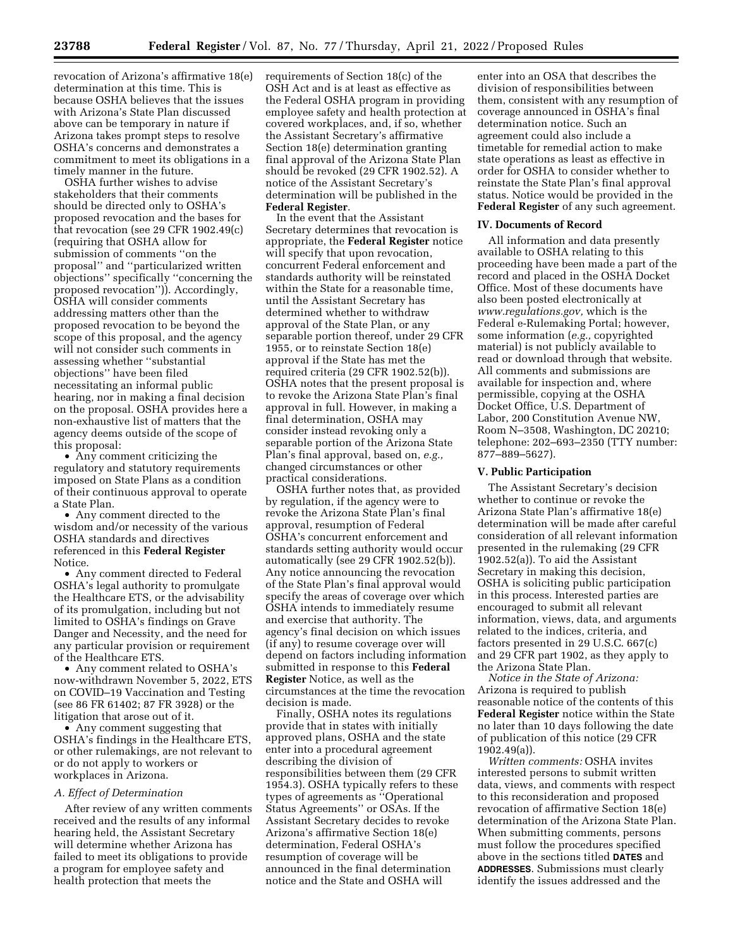revocation of Arizona's affirmative 18(e) determination at this time. This is because OSHA believes that the issues with Arizona's State Plan discussed above can be temporary in nature if Arizona takes prompt steps to resolve OSHA's concerns and demonstrates a commitment to meet its obligations in a timely manner in the future.

OSHA further wishes to advise stakeholders that their comments should be directed only to OSHA's proposed revocation and the bases for that revocation (see 29 CFR 1902.49(c) (requiring that OSHA allow for submission of comments ''on the proposal'' and ''particularized written objections'' specifically ''concerning the proposed revocation'')). Accordingly, OSHA will consider comments addressing matters other than the proposed revocation to be beyond the scope of this proposal, and the agency will not consider such comments in assessing whether ''substantial objections'' have been filed necessitating an informal public hearing, nor in making a final decision on the proposal. OSHA provides here a non-exhaustive list of matters that the agency deems outside of the scope of this proposal:

• Any comment criticizing the regulatory and statutory requirements imposed on State Plans as a condition of their continuous approval to operate a State Plan.

• Any comment directed to the wisdom and/or necessity of the various OSHA standards and directives referenced in this **Federal Register**  Notice.

• Any comment directed to Federal OSHA's legal authority to promulgate the Healthcare ETS, or the advisability of its promulgation, including but not limited to OSHA's findings on Grave Danger and Necessity, and the need for any particular provision or requirement of the Healthcare ETS.

• Any comment related to OSHA's now-withdrawn November 5, 2022, ETS on COVID–19 Vaccination and Testing (see 86 FR 61402; 87 FR 3928) or the litigation that arose out of it.

• Any comment suggesting that OSHA's findings in the Healthcare ETS, or other rulemakings, are not relevant to or do not apply to workers or workplaces in Arizona.

### *A. Effect of Determination*

After review of any written comments received and the results of any informal hearing held, the Assistant Secretary will determine whether Arizona has failed to meet its obligations to provide a program for employee safety and health protection that meets the

requirements of Section 18(c) of the OSH Act and is at least as effective as the Federal OSHA program in providing employee safety and health protection at covered workplaces, and, if so, whether the Assistant Secretary's affirmative Section 18(e) determination granting final approval of the Arizona State Plan should be revoked (29 CFR 1902.52). A notice of the Assistant Secretary's determination will be published in the **Federal Register**.

In the event that the Assistant Secretary determines that revocation is appropriate, the **Federal Register** notice will specify that upon revocation, concurrent Federal enforcement and standards authority will be reinstated within the State for a reasonable time, until the Assistant Secretary has determined whether to withdraw approval of the State Plan, or any separable portion thereof, under 29 CFR 1955, or to reinstate Section 18(e) approval if the State has met the required criteria (29 CFR 1902.52(b)). OSHA notes that the present proposal is to revoke the Arizona State Plan's final approval in full. However, in making a final determination, OSHA may consider instead revoking only a separable portion of the Arizona State Plan's final approval, based on, *e.g.,*  changed circumstances or other practical considerations.

OSHA further notes that, as provided by regulation, if the agency were to revoke the Arizona State Plan's final approval, resumption of Federal OSHA's concurrent enforcement and standards setting authority would occur automatically (see 29 CFR 1902.52(b)). Any notice announcing the revocation of the State Plan's final approval would specify the areas of coverage over which OSHA intends to immediately resume and exercise that authority. The agency's final decision on which issues (if any) to resume coverage over will depend on factors including information submitted in response to this **Federal Register** Notice, as well as the circumstances at the time the revocation decision is made.

Finally, OSHA notes its regulations provide that in states with initially approved plans, OSHA and the state enter into a procedural agreement describing the division of responsibilities between them (29 CFR 1954.3). OSHA typically refers to these types of agreements as ''Operational Status Agreements'' or OSAs. If the Assistant Secretary decides to revoke Arizona's affirmative Section 18(e) determination, Federal OSHA's resumption of coverage will be announced in the final determination notice and the State and OSHA will

enter into an OSA that describes the division of responsibilities between them, consistent with any resumption of coverage announced in OSHA's final determination notice. Such an agreement could also include a timetable for remedial action to make state operations as least as effective in order for OSHA to consider whether to reinstate the State Plan's final approval status. Notice would be provided in the **Federal Register** of any such agreement.

### **IV. Documents of Record**

All information and data presently available to OSHA relating to this proceeding have been made a part of the record and placed in the OSHA Docket Office. Most of these documents have also been posted electronically at *[www.regulations.gov,](http://www.regulations.gov)* which is the Federal e-Rulemaking Portal; however, some information (*e.g.,* copyrighted material) is not publicly available to read or download through that website. All comments and submissions are available for inspection and, where permissible, copying at the OSHA Docket Office, U.S. Department of Labor, 200 Constitution Avenue NW, Room N–3508, Washington, DC 20210; telephone: 202–693–2350 (TTY number: 877–889–5627).

### **V. Public Participation**

The Assistant Secretary's decision whether to continue or revoke the Arizona State Plan's affirmative 18(e) determination will be made after careful consideration of all relevant information presented in the rulemaking (29 CFR 1902.52(a)). To aid the Assistant Secretary in making this decision, OSHA is soliciting public participation in this process. Interested parties are encouraged to submit all relevant information, views, data, and arguments related to the indices, criteria, and factors presented in 29 U.S.C. 667(c) and 29 CFR part 1902, as they apply to the Arizona State Plan.

*Notice in the State of Arizona:*  Arizona is required to publish reasonable notice of the contents of this **Federal Register** notice within the State no later than 10 days following the date of publication of this notice (29 CFR 1902.49(a)).

*Written comments:* OSHA invites interested persons to submit written data, views, and comments with respect to this reconsideration and proposed revocation of affirmative Section 18(e) determination of the Arizona State Plan. When submitting comments, persons must follow the procedures specified above in the sections titled **DATES** and **ADDRESSES**. Submissions must clearly identify the issues addressed and the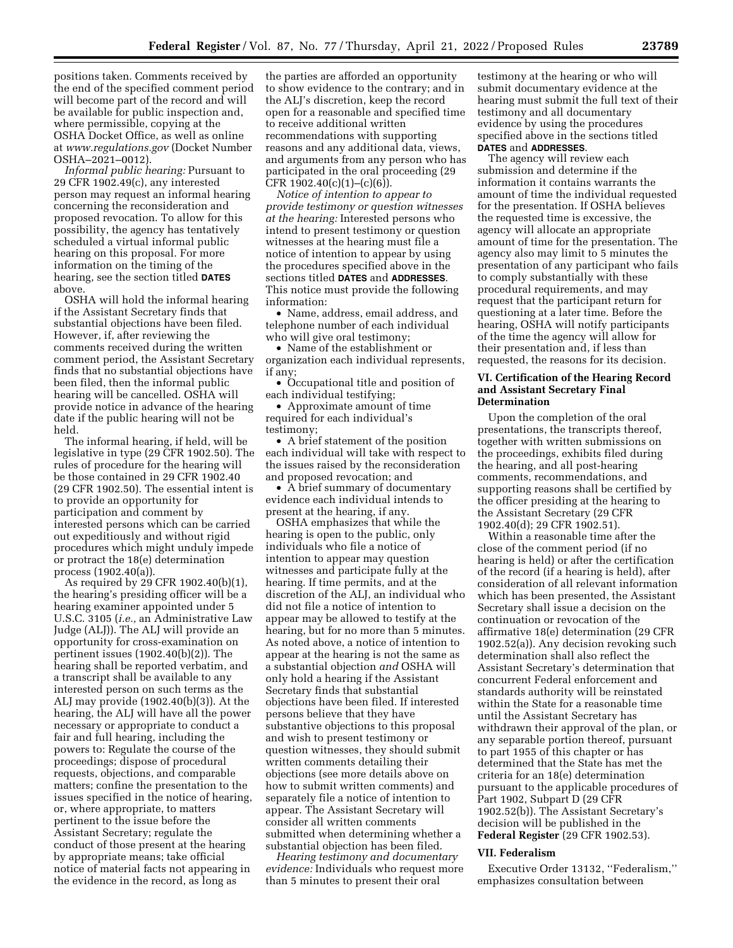positions taken. Comments received by the end of the specified comment period will become part of the record and will be available for public inspection and, where permissible, copying at the OSHA Docket Office, as well as online at *[www.regulations.gov](http://www.regulations.gov)* (Docket Number OSHA–2021–0012).

*Informal public hearing:* Pursuant to 29 CFR 1902.49(c), any interested person may request an informal hearing concerning the reconsideration and proposed revocation. To allow for this possibility, the agency has tentatively scheduled a virtual informal public hearing on this proposal. For more information on the timing of the hearing, see the section titled **DATES** above.

OSHA will hold the informal hearing if the Assistant Secretary finds that substantial objections have been filed. However, if, after reviewing the comments received during the written comment period, the Assistant Secretary finds that no substantial objections have been filed, then the informal public hearing will be cancelled. OSHA will provide notice in advance of the hearing date if the public hearing will not be held.

The informal hearing, if held, will be legislative in type (29 CFR 1902.50). The rules of procedure for the hearing will be those contained in 29 CFR 1902.40 (29 CFR 1902.50). The essential intent is to provide an opportunity for participation and comment by interested persons which can be carried out expeditiously and without rigid procedures which might unduly impede or protract the 18(e) determination process (1902.40(a)).

As required by 29 CFR 1902.40(b)(1), the hearing's presiding officer will be a hearing examiner appointed under 5 U.S.C. 3105 (*i.e.,* an Administrative Law Judge (ALJ)). The ALJ will provide an opportunity for cross-examination on pertinent issues (1902.40(b)(2)). The hearing shall be reported verbatim, and a transcript shall be available to any interested person on such terms as the ALJ may provide (1902.40(b)(3)). At the hearing, the ALJ will have all the power necessary or appropriate to conduct a fair and full hearing, including the powers to: Regulate the course of the proceedings; dispose of procedural requests, objections, and comparable matters; confine the presentation to the issues specified in the notice of hearing, or, where appropriate, to matters pertinent to the issue before the Assistant Secretary; regulate the conduct of those present at the hearing by appropriate means; take official notice of material facts not appearing in the evidence in the record, as long as

the parties are afforded an opportunity to show evidence to the contrary; and in the ALJ's discretion, keep the record open for a reasonable and specified time to receive additional written recommendations with supporting reasons and any additional data, views, and arguments from any person who has participated in the oral proceeding (29 CFR 1902.40(c)(1)–(c)(6)).

*Notice of intention to appear to provide testimony or question witnesses at the hearing:* Interested persons who intend to present testimony or question witnesses at the hearing must file a notice of intention to appear by using the procedures specified above in the sections titled **DATES** and **ADDRESSES**. This notice must provide the following information:

• Name, address, email address, and telephone number of each individual who will give oral testimony;

• Name of the establishment or organization each individual represents, if any;

• Occupational title and position of each individual testifying;

• Approximate amount of time required for each individual's testimony;

• A brief statement of the position each individual will take with respect to the issues raised by the reconsideration and proposed revocation; and

• A brief summary of documentary evidence each individual intends to present at the hearing, if any.

OSHA emphasizes that while the hearing is open to the public, only individuals who file a notice of intention to appear may question witnesses and participate fully at the hearing. If time permits, and at the discretion of the ALJ, an individual who did not file a notice of intention to appear may be allowed to testify at the hearing, but for no more than 5 minutes. As noted above, a notice of intention to appear at the hearing is not the same as a substantial objection *and* OSHA will only hold a hearing if the Assistant Secretary finds that substantial objections have been filed. If interested persons believe that they have substantive objections to this proposal and wish to present testimony or question witnesses, they should submit written comments detailing their objections (see more details above on how to submit written comments) and separately file a notice of intention to appear. The Assistant Secretary will consider all written comments submitted when determining whether a substantial objection has been filed.

*Hearing testimony and documentary evidence:* Individuals who request more than 5 minutes to present their oral

testimony at the hearing or who will submit documentary evidence at the hearing must submit the full text of their testimony and all documentary evidence by using the procedures specified above in the sections titled

# **DATES** and **ADDRESSES**.

The agency will review each submission and determine if the information it contains warrants the amount of time the individual requested for the presentation. If OSHA believes the requested time is excessive, the agency will allocate an appropriate amount of time for the presentation. The agency also may limit to 5 minutes the presentation of any participant who fails to comply substantially with these procedural requirements, and may request that the participant return for questioning at a later time. Before the hearing, OSHA will notify participants of the time the agency will allow for their presentation and, if less than requested, the reasons for its decision.

#### **VI. Certification of the Hearing Record and Assistant Secretary Final Determination**

Upon the completion of the oral presentations, the transcripts thereof, together with written submissions on the proceedings, exhibits filed during the hearing, and all post-hearing comments, recommendations, and supporting reasons shall be certified by the officer presiding at the hearing to the Assistant Secretary (29 CFR 1902.40(d); 29 CFR 1902.51).

Within a reasonable time after the close of the comment period (if no hearing is held) or after the certification of the record (if a hearing is held), after consideration of all relevant information which has been presented, the Assistant Secretary shall issue a decision on the continuation or revocation of the affirmative 18(e) determination (29 CFR 1902.52(a)). Any decision revoking such determination shall also reflect the Assistant Secretary's determination that concurrent Federal enforcement and standards authority will be reinstated within the State for a reasonable time until the Assistant Secretary has withdrawn their approval of the plan, or any separable portion thereof, pursuant to part 1955 of this chapter or has determined that the State has met the criteria for an 18(e) determination pursuant to the applicable procedures of Part 1902, Subpart D (29 CFR 1902.52(b)). The Assistant Secretary's decision will be published in the **Federal Register** (29 CFR 1902.53).

# **VII. Federalism**

Executive Order 13132, ''Federalism,'' emphasizes consultation between